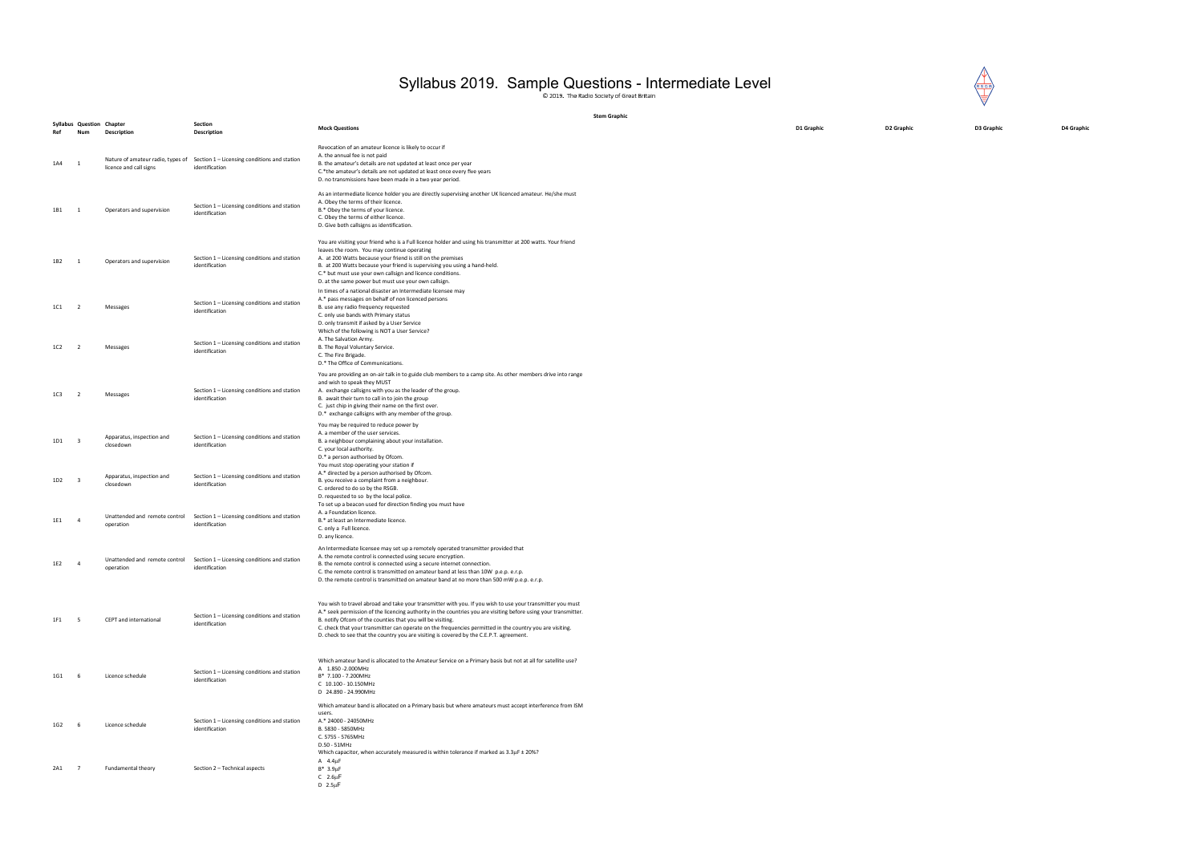D1 Graphic D2 Graphic D3 Graphic D4 Graphic

## Syllabus 2019. Sample Questions - Intermediate Level

|     |                                         |                                                             |                                                                                                |                                                                                                                                                                                                                                                                                                                                                                                                                                                                                                    | <b>Stem Graphic</b> |
|-----|-----------------------------------------|-------------------------------------------------------------|------------------------------------------------------------------------------------------------|----------------------------------------------------------------------------------------------------------------------------------------------------------------------------------------------------------------------------------------------------------------------------------------------------------------------------------------------------------------------------------------------------------------------------------------------------------------------------------------------------|---------------------|
| Ref | <b>Syllabus Question Chapter</b><br>Num | <b>Description</b>                                          | <b>Section</b><br>Description                                                                  | <b>Mock Questions</b>                                                                                                                                                                                                                                                                                                                                                                                                                                                                              |                     |
| 1A4 | 1                                       | Nature of amateur radio, types of<br>licence and call signs | Section 1 - Licensing conditions and station<br>identification                                 | Revocation of an amateur licence is likely to occur if<br>A. the annual fee is not paid<br>B. the amateur's details are not updated at least once per year<br>C.*the amateur's details are not updated at least once every five years<br>D. no transmissions have been made in a two year period.                                                                                                                                                                                                  |                     |
| 1B1 | 1                                       | Operators and supervision                                   | Section 1 - Licensing conditions and station<br>identification                                 | As an intermediate licence holder you are directly supervising another UK licenced amateur. He/she must<br>A. Obey the terms of their licence.<br>B.* Obey the terms of your licence.<br>C. Obey the terms of either licence.<br>D. Give both callsigns as identification.                                                                                                                                                                                                                         |                     |
| 1B2 | 1                                       | Operators and supervision                                   | Section 1 - Licensing conditions and station<br>identification                                 | You are visiting your friend who is a Full licence holder and using his transmitter at 200 watts. Your friend<br>leaves the room. You may continue operating<br>A. at 200 Watts because your friend is still on the premises<br>B. at 200 Watts because your friend is supervising you using a hand-held.<br>C.* but must use your own callsign and licence conditions.<br>D. at the same power but must use your own callsign.                                                                    |                     |
| 1C1 | $\overline{2}$                          | Messages                                                    | Section 1 - Licensing conditions and station<br>identification                                 | In times of a national disaster an Intermediate licensee may<br>A.* pass messages on behalf of non licenced persons<br>B. use any radio frequency requested<br>C. only use bands with Primary status<br>D. only transmit if asked by a User Service                                                                                                                                                                                                                                                |                     |
| 1C2 | $\overline{2}$                          | Messages                                                    | Section 1 - Licensing conditions and station<br>identification                                 | Which of the following is NOT a User Service?<br>A. The Salvation Army.<br>B. The Royal Voluntary Service.<br>C. The Fire Brigade.<br>D.* The Office of Communications.                                                                                                                                                                                                                                                                                                                            |                     |
| 1C3 | $\overline{2}$                          | Messages                                                    | Section 1 - Licensing conditions and station<br>identification                                 | You are providing an on-air talk in to guide club members to a camp site. As other members drive into range<br>and wish to speak they MUST<br>A. exchange callsigns with you as the leader of the group.<br>B. await their turn to call in to join the group<br>C. just chip in giving their name on the first over.<br>D.* exchange callsigns with any member of the group.                                                                                                                       |                     |
| 1D1 | 3                                       | Apparatus, inspection and<br>closedown                      | Section 1 - Licensing conditions and station<br>identification                                 | You may be required to reduce power by<br>A. a member of the user services.<br>B. a neighbour complaining about your installation.<br>C. your local authority.<br>D.* a person authorised by Ofcom.                                                                                                                                                                                                                                                                                                |                     |
| 1D2 | 3                                       | Apparatus, inspection and<br>closedown                      | Section 1 - Licensing conditions and station<br>identification                                 | You must stop operating your station if<br>A.* directed by a person authorised by Ofcom.<br>B. you receive a complaint from a neighbour.<br>C. ordered to do so by the RSGB.<br>D. requested to so by the local police.<br>To set up a beacon used for direction finding you must have                                                                                                                                                                                                             |                     |
| 1E1 | 4                                       | Unattended and remote control<br>operation                  | Section 1 - Licensing conditions and station<br>identification                                 | A. a Foundation licence.<br>B.* at least an Intermediate licence.<br>C. only a Full licence.<br>D. any licence.                                                                                                                                                                                                                                                                                                                                                                                    |                     |
| 1E2 | $\overline{a}$                          | operation                                                   | Unattended and remote control Section $1 -$ Licensing conditions and station<br>identification | An Intermediate licensee may set up a remotely operated transmitter provided that<br>A. the remote control is connected using secure encryption.<br>B. the remote control is connected using a secure internet connection.<br>C. the remote control is transmitted on amateur band at less than 10W p.e.p. e.r.p.<br>D. the remote control is transmitted on amateur band at no more than 500 mW p.e.p. e.r.p.                                                                                     |                     |
| 1F1 | 5                                       | CEPT and international                                      | Section 1 - Licensing conditions and station<br>identification                                 | You wish to travel abroad and take your transmitter with you. If you wish to use your transmitter you must<br>A.* seek permission of the licencing authority in the countries you are visiting before using your transmitter.<br>B. notify Ofcom of the counties that you will be visiting.<br>C. check that your transmitter can operate on the frequencies permitted in the country you are visiting.<br>D. check to see that the country you are visiting is covered by the C.E.P.T. agreement. |                     |
| 1G1 | 6                                       | Licence schedule                                            | Section 1 - Licensing conditions and station<br>identification                                 | Which amateur band is allocated to the Amateur Service on a Primary basis but not at all for satellite use?<br>A 1.850 - 2.000 MHz<br>B* 7.100 - 7.200MHz<br>C 10.100 - 10.150MHz<br>D 24.890 - 24.990MHz                                                                                                                                                                                                                                                                                          |                     |
| 1G2 | 6                                       | Licence schedule                                            | Section 1 - Licensing conditions and station<br>identification                                 | Which amateur band is allocated on a Primary basis but where amateurs must accept interference from ISM<br>users.<br>A.* 24000 - 24050MHz<br>B. 5830 - 5850MHz<br>C. 5755 - 5765MHz<br>D.50 - 51MHz                                                                                                                                                                                                                                                                                                |                     |
| 2A1 | 7                                       | Fundamental theory                                          | Section 2 - Technical aspects                                                                  | Which capacitor, when accurately measured is within tolerance if marked as $3.3\mu$ F $\pm$ 20%?<br>A $4.4 \mu F$<br>$B* 3.9 \mu F$<br>$C$ 2.6 $\mu$ F<br>$D$ 2.5 $\mu$ F                                                                                                                                                                                                                                                                                                                          |                     |

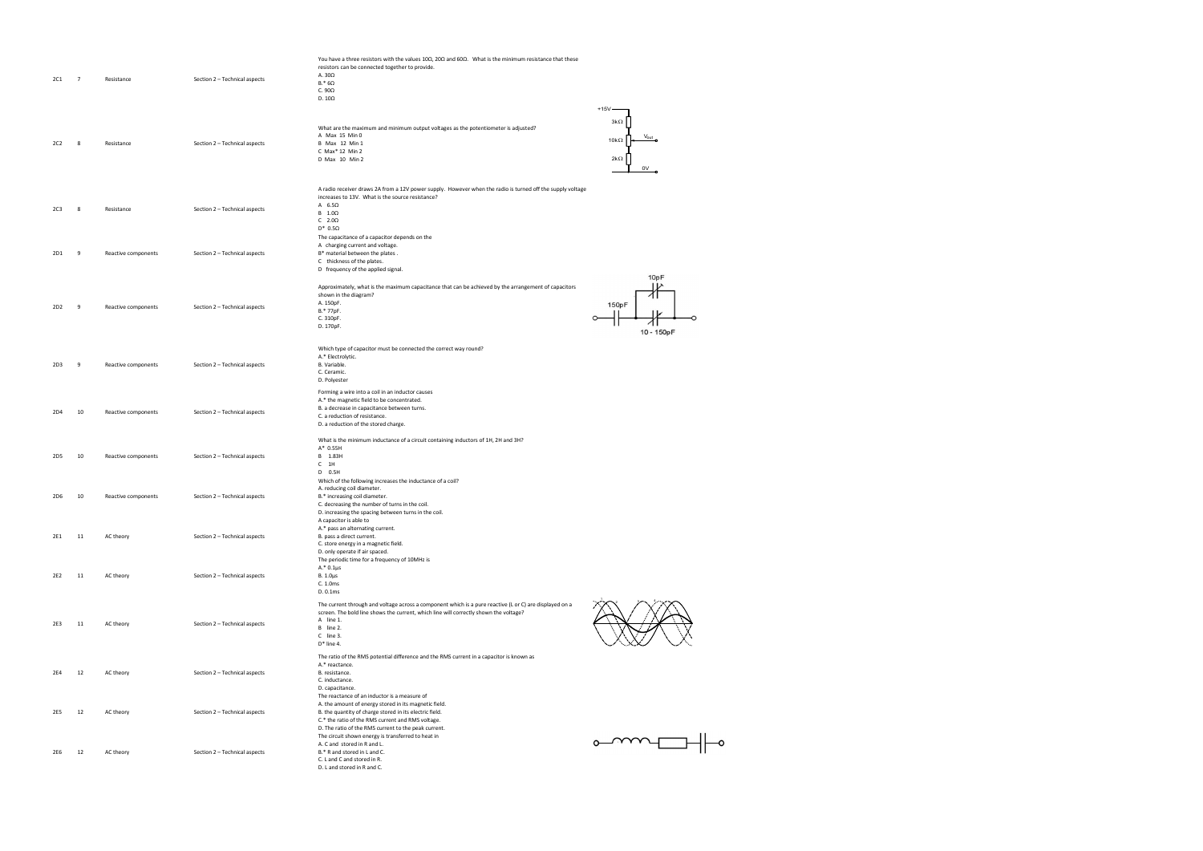|                 |                |                     |                               | You have a three resistors with the values $10\Omega$ , $20\Omega$ and $60\Omega$ . What is the minimum resistance that these |                  |
|-----------------|----------------|---------------------|-------------------------------|-------------------------------------------------------------------------------------------------------------------------------|------------------|
|                 |                |                     |                               | resistors can be connected together to provide.                                                                               |                  |
| 2C1             | $\overline{7}$ | Resistance          | Section 2 - Technical aspects | A. 30Ω                                                                                                                        |                  |
|                 |                |                     |                               | $B.*$ 6 $\Omega$                                                                                                              |                  |
|                 |                |                     |                               | C. $90\Omega$                                                                                                                 |                  |
|                 |                |                     |                               | D. $10\Omega$                                                                                                                 |                  |
|                 |                |                     |                               |                                                                                                                               | $+15V -$         |
|                 |                |                     |                               |                                                                                                                               | $3k\Omega$       |
|                 |                |                     |                               | What are the maximum and minimum output voltages as the potentiometer is adjusted?                                            |                  |
|                 |                |                     |                               | A Max 15 Min 0                                                                                                                | 10k $\Omega$     |
| 2C2             | 8              | Resistance          | Section 2 - Technical aspects | <b>B</b> Max 12 Min 1                                                                                                         |                  |
|                 |                |                     |                               | C Max* 12 Min 2                                                                                                               |                  |
|                 |                |                     |                               | D Max 10 Min 2                                                                                                                | $2k\Omega$       |
|                 |                |                     |                               |                                                                                                                               | 0V               |
|                 |                |                     |                               |                                                                                                                               |                  |
|                 |                |                     |                               | A radio receiver draws 2A from a 12V power supply. However when the radio is turned off the supply voltage                    |                  |
|                 |                |                     |                               | increases to 13V. What is the source resistance?                                                                              |                  |
|                 |                |                     |                               | A $6.5\Omega$                                                                                                                 |                  |
| 2C3             | 8              | Resistance          | Section 2 - Technical aspects | $B \quad 1.0\Omega$                                                                                                           |                  |
|                 |                |                     |                               | C $2.0\Omega$                                                                                                                 |                  |
|                 |                |                     |                               | $D^*$ 0.5 $\Omega$                                                                                                            |                  |
|                 |                |                     |                               | The capacitance of a capacitor depends on the                                                                                 |                  |
|                 |                |                     |                               | A charging current and voltage.                                                                                               |                  |
| 2D1             | - 9            | Reactive components | Section 2 - Technical aspects | B* material between the plates.                                                                                               |                  |
|                 |                |                     |                               | C thickness of the plates.                                                                                                    |                  |
|                 |                |                     |                               | D frequency of the applied signal.                                                                                            |                  |
|                 |                |                     |                               |                                                                                                                               | 10pF             |
|                 |                |                     |                               | Approximately, what is the maximum capacitance that can be achieved by the arrangement of capacitors                          |                  |
|                 |                |                     |                               | shown in the diagram?                                                                                                         |                  |
| 2D <sub>2</sub> | - 9            | Reactive components | Section 2 - Technical aspects | A. 150pF.                                                                                                                     | 150pF            |
|                 |                |                     |                               | B.* 77pF.                                                                                                                     |                  |
|                 |                |                     |                               | C. 310pF.                                                                                                                     |                  |
|                 |                |                     |                               | D. 170pF.                                                                                                                     | 10 - 150pF       |
|                 |                |                     |                               |                                                                                                                               |                  |
|                 |                |                     |                               | Which type of capacitor must be connected the correct way round?                                                              |                  |
|                 |                |                     |                               | A.* Electrolytic.                                                                                                             |                  |
| 2D3             | - 9            | Reactive components | Section 2 - Technical aspects | B. Variable.                                                                                                                  |                  |
|                 |                |                     |                               | C. Ceramic.                                                                                                                   |                  |
|                 |                |                     |                               | D. Polyester                                                                                                                  |                  |
|                 |                |                     |                               |                                                                                                                               |                  |
|                 |                |                     |                               | Forming a wire into a coil in an inductor causes<br>A.* the magnetic field to be concentrated.                                |                  |
|                 |                |                     |                               | B. a decrease in capacitance between turns.                                                                                   |                  |
| 2D4             | 10             | Reactive components | Section 2 - Technical aspects | C. a reduction of resistance.                                                                                                 |                  |
|                 |                |                     |                               | D. a reduction of the stored charge.                                                                                          |                  |
|                 |                |                     |                               |                                                                                                                               |                  |
|                 |                |                     |                               | What is the minimum inductance of a circuit containing inductors of 1H, 2H and 3H?                                            |                  |
|                 |                |                     |                               | A* 0.55H                                                                                                                      |                  |
| 2D5             | 10             | Reactive components | Section 2 - Technical aspects | B 1.83H                                                                                                                       |                  |
|                 |                |                     |                               | $C$ 1H                                                                                                                        |                  |
|                 |                |                     |                               | D 0.5H                                                                                                                        |                  |
|                 |                |                     |                               | Which of the following increases the inductance of a coil?                                                                    |                  |
|                 |                |                     |                               | A. reducing coil diameter.                                                                                                    |                  |
| 2D6             | 10             | Reactive components | Section 2 - Technical aspects | B.* increasing coil diameter.                                                                                                 |                  |
|                 |                |                     |                               | C. decreasing the number of turns in the coil.                                                                                |                  |
|                 |                |                     |                               | D. increasing the spacing between turns in the coil.                                                                          |                  |
|                 |                |                     |                               | A capacitor is able to                                                                                                        |                  |
|                 |                |                     |                               | A.* pass an alternating current.                                                                                              |                  |
| 2E1             | 11             | AC theory           | Section 2 - Technical aspects | B. pass a direct current.                                                                                                     |                  |
|                 |                |                     |                               | C. store energy in a magnetic field.                                                                                          |                  |
|                 |                |                     |                               | D. only operate if air spaced.                                                                                                |                  |
|                 |                |                     |                               | The periodic time for a frequency of 10MHz is                                                                                 |                  |
|                 |                |                     |                               | $A.* 0.1 \mu s$                                                                                                               |                  |
| 2E2             | 11             | AC theory           | Section 2 - Technical aspects | B. $1.0\mu s$                                                                                                                 |                  |
|                 |                |                     |                               | C. 1.0ms                                                                                                                      |                  |
|                 |                |                     |                               | D. 0.1ms                                                                                                                      |                  |
|                 |                |                     |                               | The current through and voltage across a component which is a pure reactive (L or C) are displayed on a                       |                  |
|                 |                |                     |                               | screen. The bold line shows the current, which line will correctly shown the voltage?                                         |                  |
| 2E3             | 11             | AC theory           | Section 2 - Technical aspects | A line 1.                                                                                                                     |                  |
|                 |                |                     |                               | B line 2.                                                                                                                     |                  |
|                 |                |                     |                               | C line 3.                                                                                                                     |                  |
|                 |                |                     |                               | $D^*$ line 4.                                                                                                                 |                  |
|                 |                |                     |                               | The ratio of the RMS potential difference and the RMS current in a capacitor is known as                                      |                  |
|                 |                |                     |                               | A.* reactance.                                                                                                                |                  |
| 2E4             | 12             | AC theory           | Section 2 - Technical aspects | B. resistance.                                                                                                                |                  |
|                 |                |                     |                               | C. inductance.                                                                                                                |                  |
|                 |                |                     |                               | D. capacitance.                                                                                                               |                  |
|                 |                |                     |                               | The reactance of an inductor is a measure of                                                                                  |                  |
|                 |                |                     |                               | A. the amount of energy stored in its magnetic field.                                                                         |                  |
| 2E5             | 12             | AC theory           | Section 2 - Technical aspects | B. the quantity of charge stored in its electric field.                                                                       |                  |
|                 |                |                     |                               | C.* the ratio of the RMS current and RMS voltage.                                                                             |                  |
|                 |                |                     |                               | D. The ratio of the RMS current to the peak current.                                                                          |                  |
|                 |                |                     |                               | The circuit shown energy is transferred to heat in                                                                            |                  |
|                 |                |                     |                               | A. C and stored in R and L.                                                                                                   | $\sim$ mm $\Box$ |
| 2E6             | 12             | AC theory           | Section 2 - Technical aspects | B.* R and stored in L and C.                                                                                                  |                  |
|                 |                |                     |                               | C. L and C and stored in R.                                                                                                   |                  |
|                 |                |                     |                               | D. L and stored in R and C.                                                                                                   |                  |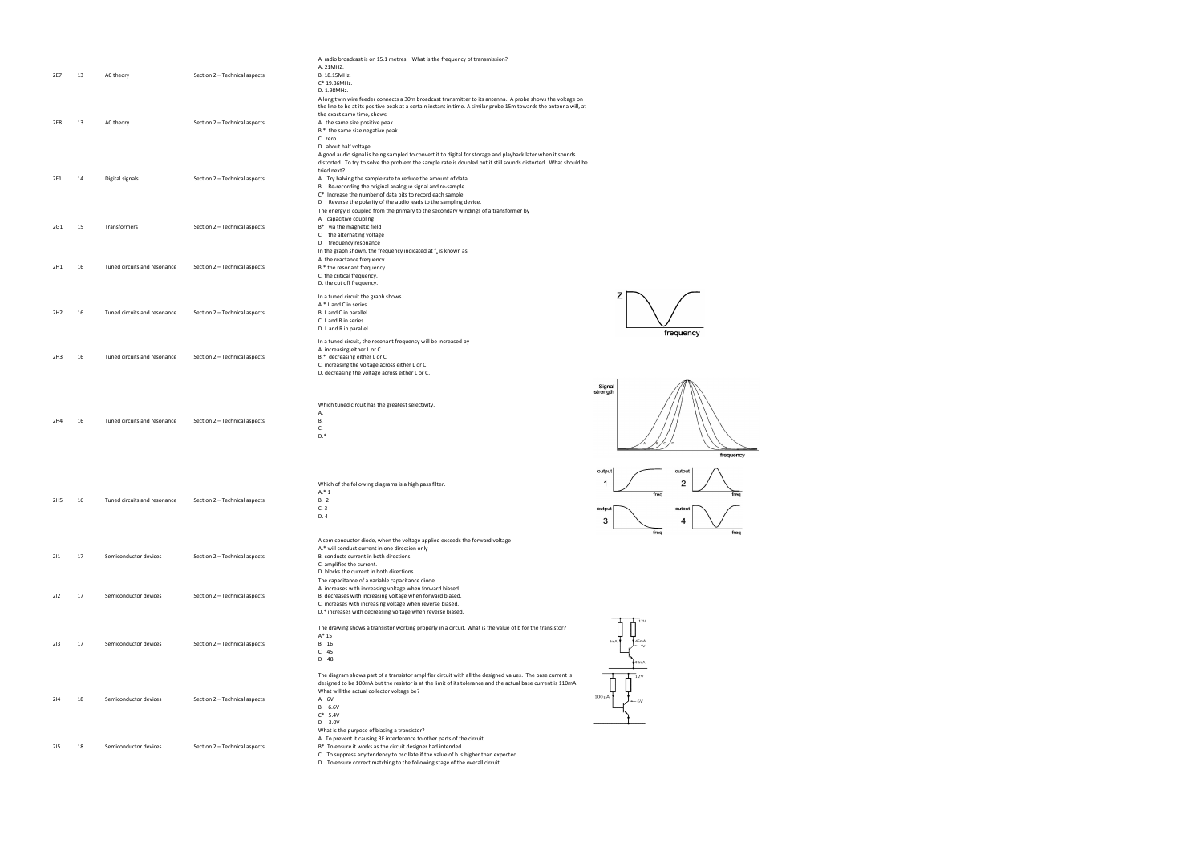|                 |    |                              |                               | A radio broadcast is on 15.1 metres. What is the frequency of transmission?<br>A. 21MHZ.                                                                          |                    |
|-----------------|----|------------------------------|-------------------------------|-------------------------------------------------------------------------------------------------------------------------------------------------------------------|--------------------|
| 2E7             | 13 | AC theory                    | Section 2 - Technical aspects | B. 18.15MHz.<br>C* 19.86MHz.                                                                                                                                      |                    |
|                 |    |                              |                               | D. 1.98MHz.<br>A long twin wire feeder connects a 30m broadcast transmitter to its antenna. A probe shows the voltage on                                          |                    |
|                 |    |                              |                               | the line to be at its positive peak at a certain instant in time. A similar probe 15m towards the antenna will, at<br>the exact same time, shows                  |                    |
| 2E8             | 13 | AC theory                    | Section 2 - Technical aspects | A the same size positive peak.                                                                                                                                    |                    |
|                 |    |                              |                               | B * the same size negative peak.<br>C zero.                                                                                                                       |                    |
|                 |    |                              |                               | D about half voltage.<br>A good audio signal is being sampled to convert it to digital for storage and playback later when it sounds                              |                    |
|                 |    |                              |                               | distorted. To try to solve the problem the sample rate is doubled but it still sounds distorted. What should be<br>tried next?                                    |                    |
| 2F1             | 14 | Digital signals              | Section 2 - Technical aspects | A Try halving the sample rate to reduce the amount of data.<br>Re-recording the original analogue signal and re-sample.<br>В                                      |                    |
|                 |    |                              |                               | C* Increase the number of data bits to record each sample.<br>D Reverse the polarity of the audio leads to the sampling device.                                   |                    |
|                 |    |                              |                               | The energy is coupled from the primary to the secondary windings of a transformer by                                                                              |                    |
| 2G1             | 15 | Transformers                 | Section 2 - Technical aspects | A capacitive coupling<br>B* via the magnetic field                                                                                                                |                    |
|                 |    |                              |                               | C the alternating voltage<br>D frequency resonance                                                                                                                |                    |
|                 |    |                              |                               | In the graph shown, the frequency indicated at $f_a$ is known as<br>A. the reactance frequency.                                                                   |                    |
| 2H1             | 16 | Tuned circuits and resonance | Section 2 - Technical aspects | B.* the resonant frequency.<br>C. the critical frequency.                                                                                                         |                    |
|                 |    |                              |                               | D. the cut off frequency.                                                                                                                                         |                    |
|                 |    |                              |                               | In a tuned circuit the graph shows.<br>A.* L and C in series.                                                                                                     | z                  |
| 2H <sub>2</sub> | 16 | Tuned circuits and resonance | Section 2 - Technical aspects | B. L and C in parallel.                                                                                                                                           |                    |
|                 |    |                              |                               | C. L and R in series.<br>D. L and R in parallel                                                                                                                   |                    |
|                 |    |                              |                               | In a tuned circuit, the resonant frequency will be increased by                                                                                                   |                    |
| 2H <sub>3</sub> | 16 | Tuned circuits and resonance | Section 2 - Technical aspects | A. increasing either L or C.<br>B.* decreasing either L or C                                                                                                      |                    |
|                 |    |                              |                               | C. increasing the voltage across either L or C.<br>D. decreasing the voltage across either L or C.                                                                |                    |
|                 |    |                              |                               |                                                                                                                                                                   | Signal<br>strength |
|                 |    |                              |                               | Which tuned circuit has the greatest selectivity.                                                                                                                 |                    |
| 2H4             | 16 | Tuned circuits and resonance | Section 2 - Technical aspects | А.<br>В.                                                                                                                                                          |                    |
|                 |    |                              |                               | C.<br>$D.*$                                                                                                                                                       |                    |
|                 |    |                              |                               |                                                                                                                                                                   |                    |
|                 |    |                              |                               |                                                                                                                                                                   |                    |
|                 |    |                              |                               |                                                                                                                                                                   | output<br>1        |
|                 |    |                              |                               | Which of the following diagrams is a high pass filter.<br>$A.*1$                                                                                                  | fre                |
| 2H5             | 16 | Tuned circuits and resonance | Section 2 - Technical aspects | <b>B.</b> 2<br>C. 3                                                                                                                                               | outpu              |
|                 |    |                              |                               | D. 4                                                                                                                                                              | 3                  |
|                 |    |                              |                               | A semiconductor diode, when the voltage applied exceeds the forward voltage                                                                                       | fre                |
| 211             | 17 | Semiconductor devices        | Section 2 - Technical aspects | A.* will conduct current in one direction only<br>B. conducts current in both directions.                                                                         |                    |
|                 |    |                              |                               | C. amplifies the current.<br>D. blocks the current in both directions.                                                                                            |                    |
|                 |    |                              |                               | The capacitance of a variable capacitance diode                                                                                                                   |                    |
| 212             | 17 | Semiconductor devices        | Section 2 - Technical aspects | A. increases with increasing voltage when forward biased.<br>B. decreases with increasing voltage when forward biased.                                            |                    |
|                 |    |                              |                               | C. increases with increasing voltage when reverse biased.<br>D.* increases with decreasing voltage when reverse biased.                                           |                    |
|                 |    |                              |                               | The drawing shows a transistor working properly in a circuit. What is the value of b for the transistor?                                                          | 12V                |
| 213             | 17 | Semiconductor devices        | Section 2 - Technical aspects | $A^* 15$<br>B 16                                                                                                                                                  | 45m/               |
|                 |    |                              |                               | $C$ 45<br>D 48                                                                                                                                                    |                    |
|                 |    |                              |                               | The diagram shows part of a transistor amplifier circuit with all the designed values. The base current is                                                        | $18m$ A            |
|                 |    |                              |                               | designed to be 100mA but the resistor is at the limit of its tolerance and the actual base current is 110mA.                                                      |                    |
| 214             | 18 | Semiconductor devices        | Section 2 - Technical aspects | What will the actual collector voltage be?<br>A 6V                                                                                                                | $100 \mu A$        |
|                 |    |                              |                               | B 6.6V<br>$C^*$ 5.4V                                                                                                                                              |                    |
|                 |    |                              |                               | D 3.0V<br>What is the purpose of biasing a transistor?                                                                                                            |                    |
| 215             | 18 | Semiconductor devices        | Section 2 - Technical aspects | A To prevent it causing RF interference to other parts of the circuit.<br>B* To ensure it works as the circuit designer had intended.                             |                    |
|                 |    |                              |                               | C To suppress any tendency to oscillate if the value of b is higher than expected.<br>D To ensure correct matching to the following stage of the overall circuit. |                    |
|                 |    |                              |                               |                                                                                                                                                                   |                    |





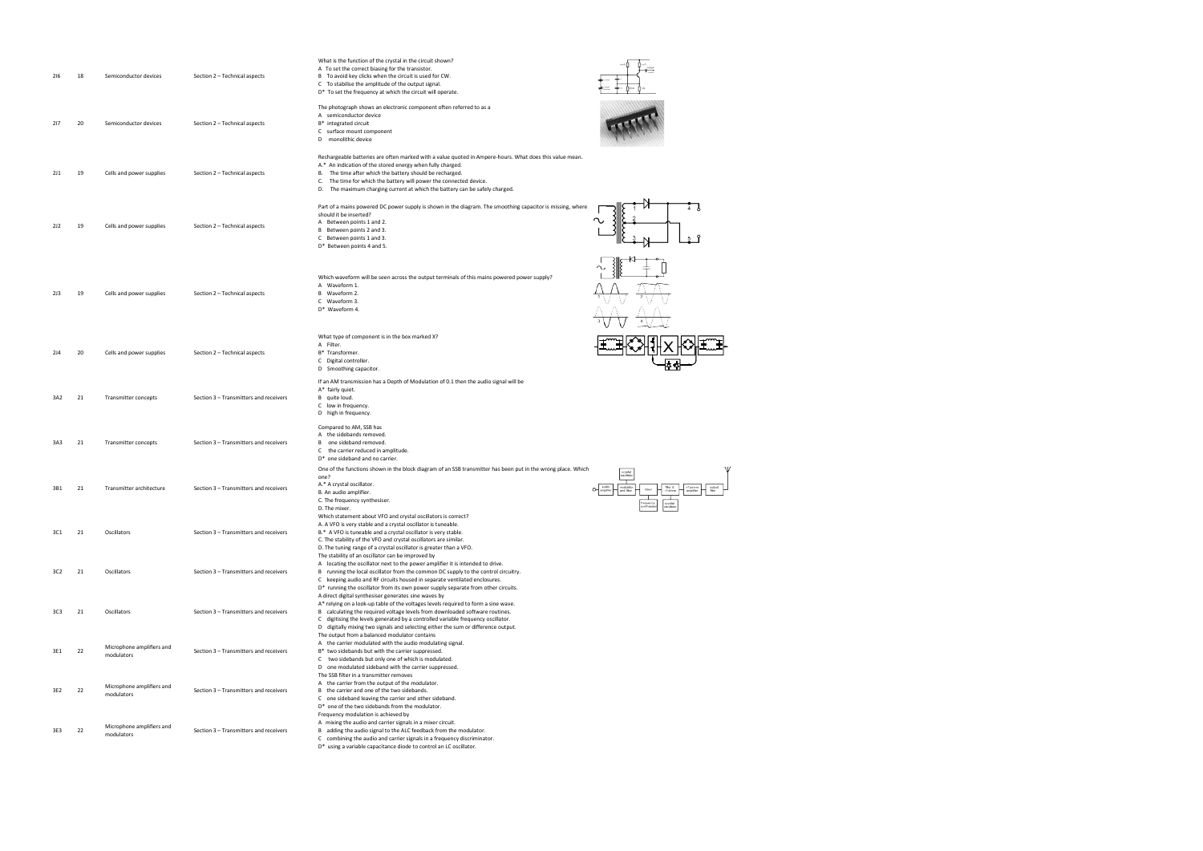| 216             | 18 | Semiconductor devices                   | Section 2 - Technical aspects          | What is the function of the crystal in the circuit shown?<br>A To set the correct biasing for the transistor.<br>B To avoid key clicks when the circuit is used for CW.<br>C To stabilise the amplitude of the output signal.<br>D* To set the frequency at which the circuit will operate.                                                                                                         |                         |
|-----------------|----|-----------------------------------------|----------------------------------------|-----------------------------------------------------------------------------------------------------------------------------------------------------------------------------------------------------------------------------------------------------------------------------------------------------------------------------------------------------------------------------------------------------|-------------------------|
| 217             | 20 | Semiconductor devices                   | Section 2 - Technical aspects          | The photograph shows an electronic component often referred to as a<br>A semiconductor device<br>B* integrated circuit<br>C surface mount component<br>D<br>monolithic device                                                                                                                                                                                                                       |                         |
| 2J1             | 19 | Cells and power supplies                | Section 2 - Technical aspects          | Rechargeable batteries are often marked with a value quoted in Ampere-hours. What does this value mean.<br>A.* An indication of the stored energy when fully charged.<br>The time after which the battery should be recharged.<br>В.<br>C.<br>The time for which the battery will power the connected device.<br>D. The maximum charging current at which the battery can be safely charged.        |                         |
| 2J2             | 19 | Cells and power supplies                | Section 2 - Technical aspects          | Part of a mains powered DC power supply is shown in the diagram. The smoothing capacitor is missing, where<br>should it be inserted?<br>A Between points 1 and 2.<br>B Between points 2 and 3.<br>C Between points 1 and 3.<br>D* Between points 4 and 5.                                                                                                                                           |                         |
| 2J3             | 19 | Cells and power supplies                | Section 2 - Technical aspects          | Which waveform will be seen across the output terminals of this mains powered power supply?<br>A Waveform 1.<br>B Waveform 2.<br>C Waveform 3.<br>D* Waveform 4.                                                                                                                                                                                                                                    |                         |
| 2J4             | 20 | Cells and power supplies                | Section 2 - Technical aspects          | What type of component is in the box marked X?<br>A Filter.<br>B* Transformer.<br>C Digital controller.<br>D Smoothing capacitor.                                                                                                                                                                                                                                                                   |                         |
| 3A2             | 21 | Transmitter concepts                    | Section 3 - Transmitters and receivers | If an AM transmission has a Depth of Modulation of 0.1 then the audio signal will be<br>A* fairly quiet.<br>B quite loud.<br>C low in frequency.<br>D high in frequency.                                                                                                                                                                                                                            |                         |
| 3A3             | 21 | Transmitter concepts                    | Section 3 - Transmitters and receivers | Compared to AM, SSB has<br>A the sidebands removed.<br>B<br>one sideband removed.<br>C the carrier reduced in amplitude.<br>D* one sideband and no carrier.                                                                                                                                                                                                                                         |                         |
| 3B1             | 21 | Transmitter architecture                | Section 3 - Transmitters and receivers | One of the functions shown in the block diagram of an SSB transmitter has been put in the wrong place. Which<br>one?<br>A.* A crystal oscillator.<br>B. An audio amplifier.<br>C. The frequency synthesiser.<br>D. The mixer.                                                                                                                                                                       | .<br>Indhesia<br>rystal |
| 3C1             | 21 | Oscillators                             | Section 3 - Transmitters and receivers | Which statement about VFO and crystal oscillators is correct?<br>A. A VFO is very stable and a crystal oscillator is tuneable.<br>B.* A VFO is tuneable and a crystal oscillator is very stable.<br>C. The stability of the VFO and crystal oscillators are similar.<br>D. The tuning range of a crystal oscillator is greater than a VFO.                                                          |                         |
| 3C <sub>2</sub> | 21 | Oscillators                             | Section 3 - Transmitters and receivers | The stability of an oscillator can be improved by<br>A locating the oscillator next to the power amplifier it is intended to drive.<br>B running the local oscillator from the common DC supply to the control circuitry.<br>C keeping audio and RF circuits housed in separate ventilated enclosures.<br>D* running the oscillator from its own power supply separate from other circuits.         |                         |
| 3C3             | 21 | Oscillators                             | Section 3 - Transmitters and receivers | A direct digital synthesiser generates sine waves by<br>A* relying on a look-up table of the voltages levels required to form a sine wave.<br>B calculating the required voltage levels from downloaded software routines.<br>C digitising the levels generated by a controlled variable frequency oscillator.<br>D digitally mixing two signals and selecting either the sum or difference output. |                         |
| 3E1             | 22 | Microphone amplifiers and<br>modulators | Section 3 - Transmitters and receivers | The output from a balanced modulator contains<br>A the carrier modulated with the audio modulating signal.<br>B* two sidebands but with the carrier suppressed.<br>C two sidebands but only one of which is modulated.<br>D one modulated sideband with the carrier suppressed.                                                                                                                     |                         |
| 3E2             | 22 | Microphone amplifiers and<br>modulators | Section 3 - Transmitters and receivers | The SSB filter in a transmitter removes<br>A the carrier from the output of the modulator.<br>B the carrier and one of the two sidebands.<br>C one sideband leaving the carrier and other sideband.<br>D* one of the two sidebands from the modulator.                                                                                                                                              |                         |
| 3E3             | 22 | Microphone amplifiers and<br>modulators | Section 3 - Transmitters and receivers | Frequency modulation is achieved by<br>A mixing the audio and carrier signals in a mixer circuit.<br>B adding the audio signal to the ALC feedback from the modulator.<br>C combining the audio and carrier signals in a frequency discriminator.<br>D* using a variable capacitance diode to control an LC oscillator.                                                                             |                         |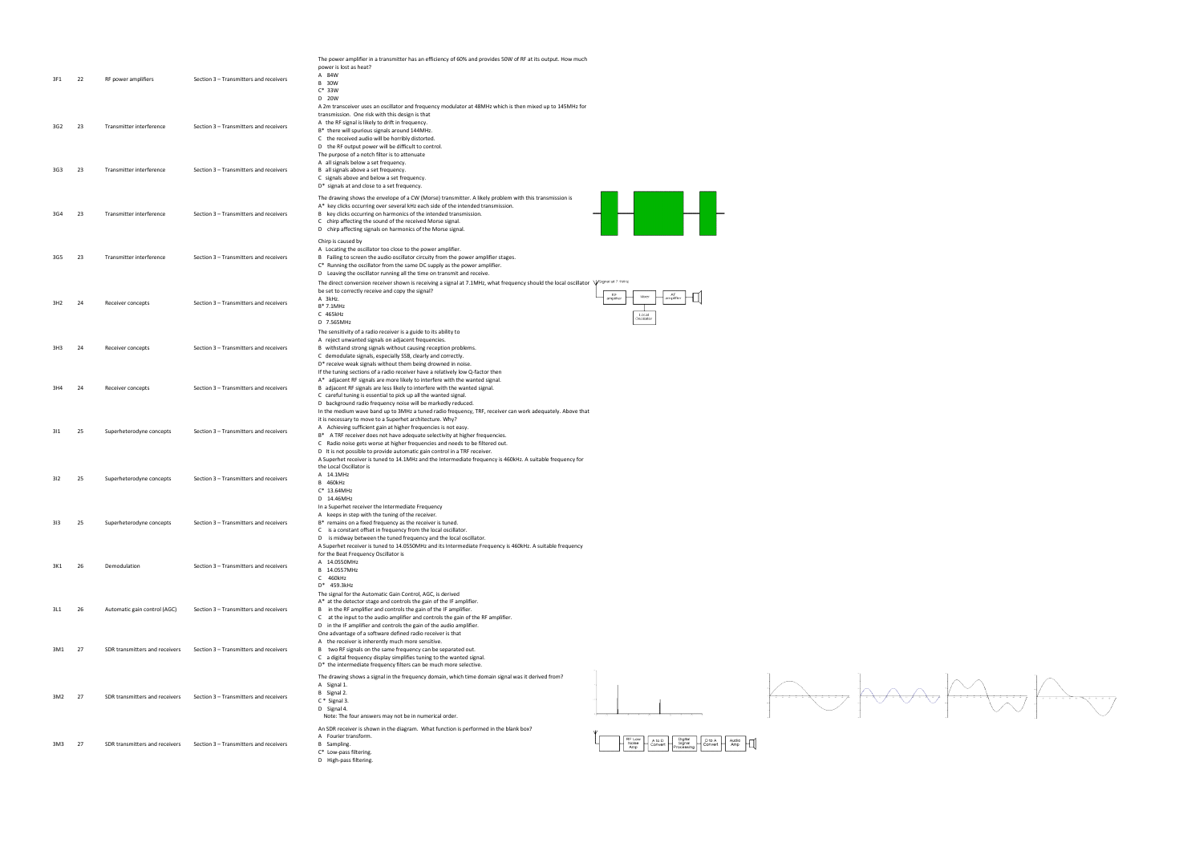| 3F1 | 22 | RF power amplifiers            | Section 3 - Transmitters and receivers                                           | The power amplifier in a transmitter has an efficiency of 60% and provides 50W of RF at its output. How much<br>power is lost as heat?<br>A 84W<br><b>B</b> 30W<br>$C^*$ 33W                                                                                                                                                                                                                                                                                                                                           |                                                                                                          |  |
|-----|----|--------------------------------|----------------------------------------------------------------------------------|------------------------------------------------------------------------------------------------------------------------------------------------------------------------------------------------------------------------------------------------------------------------------------------------------------------------------------------------------------------------------------------------------------------------------------------------------------------------------------------------------------------------|----------------------------------------------------------------------------------------------------------|--|
| 3G2 | 23 | Transmitter interference       | Section 3 - Transmitters and receivers<br>Section 3 - Transmitters and receivers | D 20W<br>A 2m transceiver uses an oscillator and frequency modulator at 48MHz which is then mixed up to 145MHz for<br>transmission. One risk with this design is that<br>A the RF signal is likely to drift in frequency.<br>B* there will spurious signals around 144MHz.<br>C the received audio will be horribly distorted.<br>D the RF output power will be difficult to control.<br>The purpose of a notch filter is to attenuate<br>A all signals below a set frequency.<br>B all signals above a set frequency. |                                                                                                          |  |
| 3G3 | 23 | Transmitter interference       |                                                                                  | C signals above and below a set frequency.<br>D* signals at and close to a set frequency.                                                                                                                                                                                                                                                                                                                                                                                                                              |                                                                                                          |  |
| 3G4 | 23 | Transmitter interference       | Section 3 - Transmitters and receivers                                           | The drawing shows the envelope of a CW (Morse) transmitter. A likely problem with this transmission is<br>A* key clicks occurring over several kHz each side of the intended transmission.<br>B key clicks occurring on harmonics of the intended transmission.<br>C chirp affecting the sound of the received Morse signal.<br>D chirp affecting signals on harmonics of the Morse signal.                                                                                                                            | ┪╝┢╉┢                                                                                                    |  |
| 3G5 | 23 | Transmitter interference       | Section 3 - Transmitters and receivers                                           | Chirp is caused by<br>A Locating the oscillator too close to the power amplifier.<br>B Failing to screen the audio oscillator circuity from the power amplifier stages.<br>C* Running the oscillator from the same DC supply as the power amplifier.<br>D Leaving the oscillator running all the time on transmit and receive.<br>The direct conversion receiver shown is receiving a signal at 7.1MHz, what frequency should the local oscillator                                                                     | VSignal at 7.1MHz                                                                                        |  |
| 3H2 | 24 | Receiver concepts              | Section 3 - Transmitters and receivers                                           | be set to correctly receive and copy the signal?<br>A 3kHz.<br>B* 7.1MHz<br>C 465kHz<br>D 7.565MHz                                                                                                                                                                                                                                                                                                                                                                                                                     | <b>RF</b><br>amplifier<br>Local<br>Oscillato                                                             |  |
| 3H3 | 24 | Receiver concepts              | Section 3 - Transmitters and receivers                                           | The sensitivity of a radio receiver is a guide to its ability to<br>A reject unwanted signals on adjacent frequencies.<br>B withstand strong signals without causing reception problems.<br>C demodulate signals, especially SSB, clearly and correctly.<br>D* receive weak signals without them being drowned in noise.<br>If the tuning sections of a radio receiver have a relatively low Q-factor then                                                                                                             |                                                                                                          |  |
| 3H4 | 24 | Receiver concepts              | Section 3 - Transmitters and receivers                                           | A* adjacent RF signals are more likely to interfere with the wanted signal.<br>B adjacent RF signals are less likely to interfere with the wanted signal.<br>C careful tuning is essential to pick up all the wanted signal.<br>D background radio frequency noise will be markedly reduced.<br>In the medium wave band up to 3MHz a tuned radio frequency, TRF, receiver can work adequately. Above that                                                                                                              |                                                                                                          |  |
| 311 | 25 | Superheterodyne concepts       | Section 3 - Transmitters and receivers                                           | it is necessary to move to a Superhet architecture. Why?<br>A Achieving sufficient gain at higher frequencies is not easy.<br>B* A TRF receiver does not have adequate selectivity at higher frequencies.<br>C Radio noise gets worse at higher frequencies and needs to be filtered out.<br>D It is not possible to provide automatic gain control in a TRF receiver.<br>A Superhet receiver is tuned to 14.1MHz and the Intermediate frequency is 460kHz. A suitable frequency for                                   |                                                                                                          |  |
| 312 | 25 | Superheterodyne concepts       | Section 3 - Transmitters and receivers                                           | the Local Oscillator is<br>A 14.1MHz<br>B 460kHz<br>$C^*$ 13.64MHz<br>D 14.46MHz<br>In a Superhet receiver the Intermediate Frequency                                                                                                                                                                                                                                                                                                                                                                                  |                                                                                                          |  |
| 313 | 25 | Superheterodyne concepts       | Section 3 - Transmitters and receivers                                           | A keeps in step with the tuning of the receiver.<br>B* remains on a fixed frequency as the receiver is tuned.<br>C is a constant offset in frequency from the local oscillator.<br>D is midway between the tuned frequency and the local oscillator.<br>A Superhet receiver is tuned to 14.0550MHz and its Intermediate Frequency is 460kHz. A suitable frequency                                                                                                                                                      |                                                                                                          |  |
| 3K1 | 26 | Demodulation                   | Section 3 - Transmitters and receivers                                           | for the Beat Frequency Oscillator is<br>A 14.0550MHz<br>B 14.0557MHz<br>C 460kHz<br>D* 459.3kHz                                                                                                                                                                                                                                                                                                                                                                                                                        |                                                                                                          |  |
| 3L1 | 26 | Automatic gain control (AGC)   | Section 3 - Transmitters and receivers                                           | The signal for the Automatic Gain Control, AGC, is derived<br>A* at the detector stage and controls the gain of the IF amplifier.<br>B in the RF amplifier and controls the gain of the IF amplifier.<br>C at the input to the audio amplifier and controls the gain of the RF amplifier.<br>D in the IF amplifier and controls the gain of the audio amplifier.<br>One advantage of a software defined radio receiver is that                                                                                         |                                                                                                          |  |
| 3M1 | 27 | SDR transmitters and receivers | Section 3 - Transmitters and receivers                                           | A the receiver is inherently much more sensitive.<br>B two RF signals on the same frequency can be separated out.<br>C a digital frequency display simplifies tuning to the wanted signal.<br>D* the intermediate frequency filters can be much more selective.                                                                                                                                                                                                                                                        |                                                                                                          |  |
| 3M2 | 27 | SDR transmitters and receivers | Section 3 - Transmitters and receivers                                           | The drawing shows a signal in the frequency domain, which time domain signal was it derived from?<br>A Signal 1.<br>B Signal 2.<br>$C *$ Signal 3.<br>D Signal 4.<br>Note: The four answers may not be in numerical order.                                                                                                                                                                                                                                                                                             |                                                                                                          |  |
| 3M3 | 27 | SDR transmitters and receivers | Section 3 - Transmitters and receivers                                           | An SDR receiver is shown in the diagram. What function is performed in the blank box?<br>A Fourier transform.<br>B Sampling.<br>C* Low-pass filtering.<br>D High-pass filtering.                                                                                                                                                                                                                                                                                                                                       | RF Low<br>Digital<br>Signal<br>A to D<br>D to A<br>Convert<br>Audio<br>Amp<br>Noise<br>Amp<br>Processing |  |

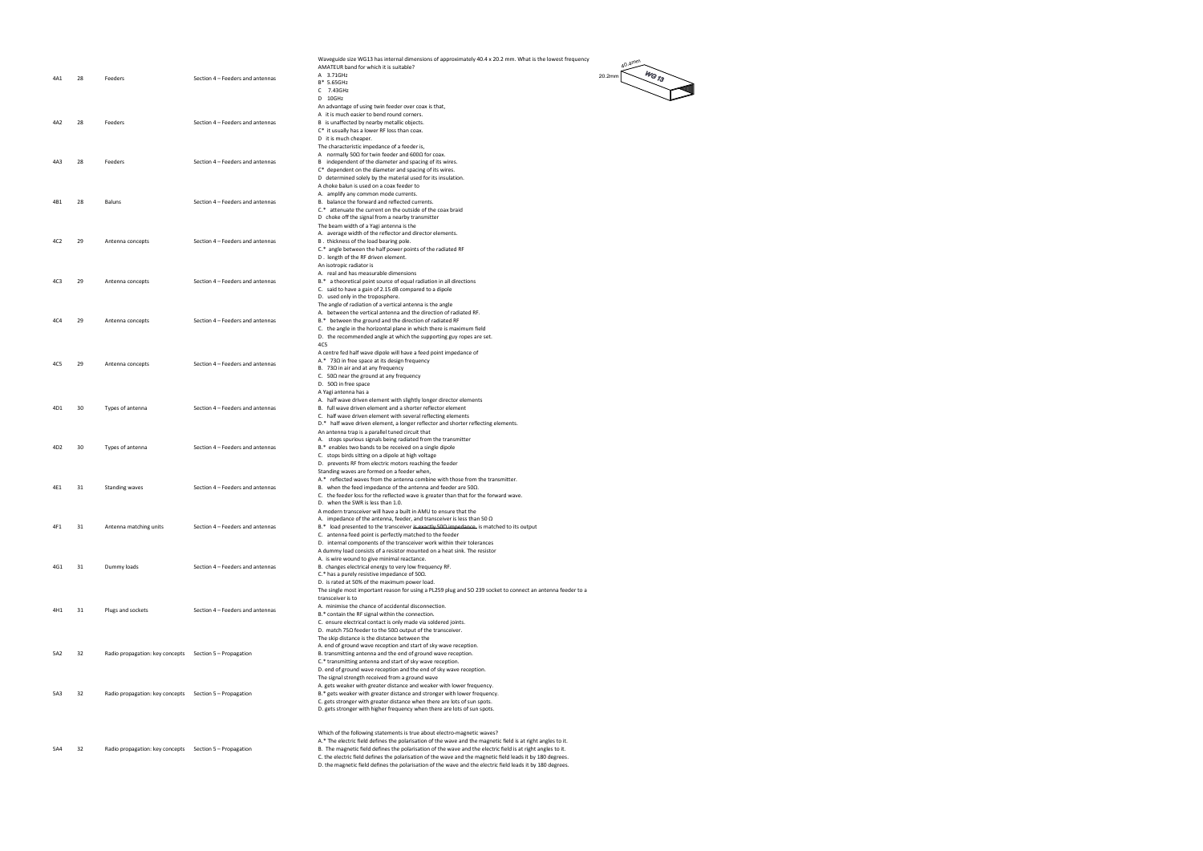|                 |      |                                                         |                                  | Waveguide size WG13 has internal dimensions of approximately 40.4 x 20.2 mm. What is the lowest frequency<br>$40.4$ mm                                                                                                    |
|-----------------|------|---------------------------------------------------------|----------------------------------|---------------------------------------------------------------------------------------------------------------------------------------------------------------------------------------------------------------------------|
|                 |      |                                                         |                                  | AMATEUR band for which it is suitable?<br>$w_{\rm G_{Z3}}$<br>A 3.71GHz<br>20.2mm                                                                                                                                         |
| 4A1             | 28   | Feeders                                                 | Section 4 - Feeders and antennas | B* 5.65GHz                                                                                                                                                                                                                |
|                 |      |                                                         |                                  | C 7.43GHz<br>D 10GHz                                                                                                                                                                                                      |
|                 |      |                                                         |                                  | An advantage of using twin feeder over coax is that,                                                                                                                                                                      |
| 4A2             | - 28 | Feeders                                                 | Section 4 - Feeders and antennas | A it is much easier to bend round corners.<br>B is unaffected by nearby metallic objects.                                                                                                                                 |
|                 |      |                                                         |                                  | C* it usually has a lower RF loss than coax.                                                                                                                                                                              |
|                 |      |                                                         |                                  | D it is much cheaper.<br>The characteristic impedance of a feeder is,                                                                                                                                                     |
|                 |      |                                                         |                                  | A normally 50 $\Omega$ for twin feeder and 600 $\Omega$ for coax.                                                                                                                                                         |
| 4A3             | 28   | Feeders                                                 | Section 4 - Feeders and antennas | B independent of the diameter and spacing of its wires.                                                                                                                                                                   |
|                 |      |                                                         |                                  | C* dependent on the diameter and spacing of its wires.<br>D determined solely by the material used for its insulation.                                                                                                    |
|                 |      |                                                         |                                  | A choke balun is used on a coax feeder to                                                                                                                                                                                 |
| 4B1             | 28   | Baluns                                                  | Section 4 - Feeders and antennas | A. amplify any common mode currents.<br>B. balance the forward and reflected currents.                                                                                                                                    |
|                 |      |                                                         |                                  | C.* attenuate the current on the outside of the coax braid                                                                                                                                                                |
|                 |      |                                                         |                                  | D choke off the signal from a nearby transmitter                                                                                                                                                                          |
|                 |      |                                                         |                                  | The beam width of a Yagi antenna is the<br>A. average width of the reflector and director elements.                                                                                                                       |
| 4C2             | 29   | Antenna concepts                                        | Section 4 - Feeders and antennas | B. thickness of the load bearing pole.                                                                                                                                                                                    |
|                 |      |                                                         |                                  | C.* angle between the half power points of the radiated RF<br>D. length of the RF driven element.                                                                                                                         |
|                 |      |                                                         |                                  | An isotropic radiator is                                                                                                                                                                                                  |
|                 |      |                                                         |                                  | A. real and has measurable dimensions                                                                                                                                                                                     |
| 4C3             | 29   | Antenna concepts                                        | Section 4 - Feeders and antennas | B.* a theoretical point source of equal radiation in all directions<br>C. said to have a gain of 2.15 dB compared to a dipole                                                                                             |
|                 |      |                                                         |                                  | D. used only in the troposphere.                                                                                                                                                                                          |
|                 |      |                                                         |                                  | The angle of radiation of a vertical antenna is the angle<br>A. between the vertical antenna and the direction of radiated RF.                                                                                            |
| 4C4             | 29   | Antenna concepts                                        | Section 4 - Feeders and antennas | B.* between the ground and the direction of radiated RF                                                                                                                                                                   |
|                 |      |                                                         |                                  | C. the angle in the horizontal plane in which there is maximum field<br>D. the recommended angle at which the supporting guy ropes are set.                                                                               |
|                 |      |                                                         |                                  | 4C5                                                                                                                                                                                                                       |
|                 |      |                                                         |                                  | A centre fed half wave dipole will have a feed point impedance of                                                                                                                                                         |
| 4C5             | 29   | Antenna concepts                                        | Section 4 - Feeders and antennas | A.* 73 $\Omega$ in free space at its design frequency<br>B. $73\Omega$ in air and at any frequency                                                                                                                        |
|                 |      |                                                         |                                  | C. $50\Omega$ near the ground at any frequency                                                                                                                                                                            |
|                 |      |                                                         |                                  | D. 50 $\Omega$ in free space<br>A Yagi antenna has a                                                                                                                                                                      |
|                 |      |                                                         |                                  | A. half wave driven element with slightly longer director elements                                                                                                                                                        |
| 4D1             | 30   | Types of antenna                                        | Section 4 - Feeders and antennas | B. full wave driven element and a shorter reflector element<br>C. half wave driven element with several reflecting elements                                                                                               |
|                 |      |                                                         |                                  | D.* half wave driven element, a longer reflector and shorter reflecting elements.                                                                                                                                         |
|                 |      |                                                         |                                  | An antenna trap is a parallel tuned circuit that                                                                                                                                                                          |
| 4D <sub>2</sub> | 30   | Types of antenna                                        | Section 4 - Feeders and antennas | A. stops spurious signals being radiated from the transmitter<br>B.* enables two bands to be received on a single dipole                                                                                                  |
|                 |      |                                                         |                                  | C. stops birds sitting on a dipole at high voltage                                                                                                                                                                        |
|                 |      |                                                         |                                  | D. prevents RF from electric motors reaching the feeder<br>Standing waves are formed on a feeder when,                                                                                                                    |
|                 |      |                                                         |                                  | A.* reflected waves from the antenna combine with those from the transmitter.                                                                                                                                             |
| 4E1             | - 31 | <b>Standing waves</b>                                   | Section 4 - Feeders and antennas | B. when the feed impedance of the antenna and feeder are $50\Omega$ .<br>C. the feeder loss for the reflected wave is greater than that for the forward wave.                                                             |
|                 |      |                                                         |                                  | D. when the SWR is less than 1.0.                                                                                                                                                                                         |
|                 |      |                                                         |                                  | A modern transceiver will have a built in AMU to ensure that the                                                                                                                                                          |
| 4F1             | 31   | Antenna matching units                                  | Section 4 - Feeders and antennas | A. impedance of the antenna, feeder, and transceiver is less than 50 $\Omega$<br>B.* load presented to the transceiver is exactly 500 impedance. is matched to its output                                                 |
|                 |      |                                                         |                                  | C. antenna feed point is perfectly matched to the feeder                                                                                                                                                                  |
|                 |      |                                                         |                                  | D. internal components of the transceiver work within their tolerances<br>A dummy load consists of a resistor mounted on a heat sink. The resistor                                                                        |
|                 |      |                                                         |                                  | A. is wire wound to give minimal reactance.                                                                                                                                                                               |
| 4G1 31          |      | Dummy loads                                             | Section 4 - Feeders and antennas | B. changes electrical energy to very low frequency RF.<br>C.* has a purely resistive impedance of $50\Omega$ .                                                                                                            |
|                 |      |                                                         |                                  | D. is rated at 50% of the maximum power load.                                                                                                                                                                             |
|                 |      |                                                         |                                  | The single most important reason for using a PL259 plug and SO 239 socket to connect an antenna feeder to a<br>transceiver is to                                                                                          |
|                 |      |                                                         |                                  | A. minimise the chance of accidental disconnection.                                                                                                                                                                       |
| 4H1             | 31   | Plugs and sockets                                       | Section 4 - Feeders and antennas | B.* contain the RF signal within the connection.                                                                                                                                                                          |
|                 |      |                                                         |                                  | C. ensure electrical contact is only made via soldered joints.<br>D. match 75 $\Omega$ feeder to the 50 $\Omega$ output of the transceiver.                                                                               |
|                 |      |                                                         |                                  | The skip distance is the distance between the                                                                                                                                                                             |
| 5A2             | 32   | Radio propagation: key concepts Section 5 - Propagation |                                  | A. end of ground wave reception and start of sky wave reception.<br>B. transmitting antenna and the end of ground wave reception.                                                                                         |
|                 |      |                                                         |                                  | C.* transmitting antenna and start of sky wave reception.                                                                                                                                                                 |
|                 |      |                                                         |                                  | D. end of ground wave reception and the end of sky wave reception.                                                                                                                                                        |
|                 |      |                                                         |                                  | The signal strength received from a ground wave<br>A. gets weaker with greater distance and weaker with lower frequency.                                                                                                  |
| 5A3             | 32   | Radio propagation: key concepts Section 5 - Propagation |                                  | B.* gets weaker with greater distance and stronger with lower frequency.                                                                                                                                                  |
|                 |      |                                                         |                                  | C. gets stronger with greater distance when there are lots of sun spots.<br>D. gets stronger with higher frequency when there are lots of sun spots.                                                                      |
|                 |      |                                                         |                                  |                                                                                                                                                                                                                           |
|                 |      |                                                         |                                  | Which of the following statements is true about electro-magnetic waves?                                                                                                                                                   |
|                 |      |                                                         |                                  | A.* The electric field defines the polarisation of the wave and the magnetic field is at right angles to it.                                                                                                              |
| 5A4             | 32   | Radio propagation: key concepts Section 5 - Propagation |                                  | B. The magnetic field defines the polarisation of the wave and the electric field is at right angles to it.<br>C. the electric field defines the polarisation of the wave and the magnetic field leads it by 180 degrees. |
|                 |      |                                                         |                                  | D. the magnetic field defines the polarisation of the wave and the electric field leads it by 180 degrees.                                                                                                                |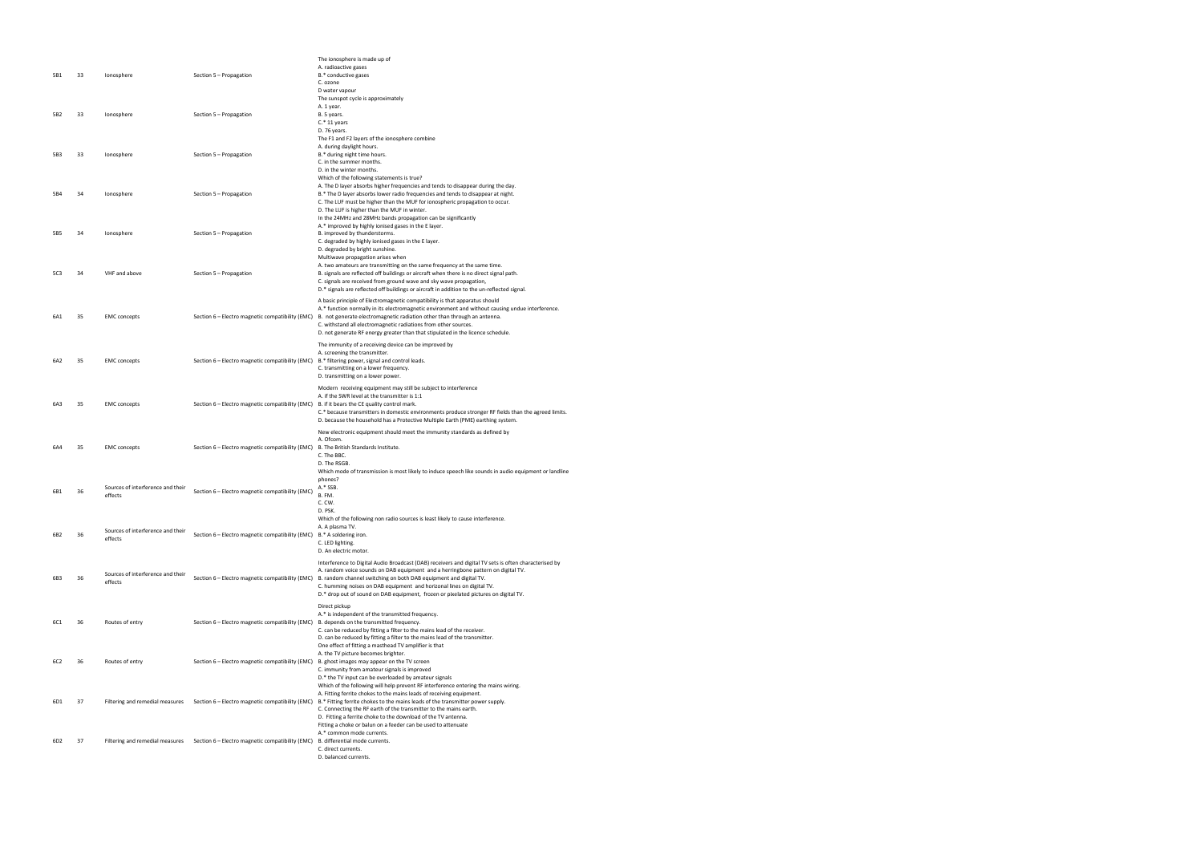| 5B1             | 33 | Ionosphere                                   | Section 5 - Propagation                          | The ionosphere is made up of<br>A. radioactive gases<br>B.* conductive gases<br>C. ozone<br>D water vapour                                                                                                                                                                                                                                                                                                                                           |
|-----------------|----|----------------------------------------------|--------------------------------------------------|------------------------------------------------------------------------------------------------------------------------------------------------------------------------------------------------------------------------------------------------------------------------------------------------------------------------------------------------------------------------------------------------------------------------------------------------------|
| 5B <sub>2</sub> | 33 | Ionosphere                                   | Section 5 - Propagation                          | The sunspot cycle is approximately<br>A. 1 year.<br>B. 5 years.<br>$C.*$ 11 years<br>D. 76 years.                                                                                                                                                                                                                                                                                                                                                    |
| 5B3             | 33 | Ionosphere                                   | Section 5 - Propagation                          | The F1 and F2 layers of the ionosphere combine<br>A. during daylight hours.<br>B.* during night time hours.<br>C. in the summer months.<br>D. in the winter months.                                                                                                                                                                                                                                                                                  |
| 5B4             | 34 | Ionosphere                                   | Section 5 - Propagation                          | Which of the following statements is true?<br>A. The D layer absorbs higher frequencies and tends to disappear during the day.<br>B.* The D layer absorbs lower radio frequencies and tends to disappear at night.<br>C. The LUF must be higher than the MUF for ionospheric propagation to occur.<br>D. The LUF is higher than the MUF in winter.                                                                                                   |
| 5B5             | 34 | Ionosphere                                   | Section 5 - Propagation                          | In the 24MHz and 28MHz bands propagation can be significantly<br>A.* improved by highly ionised gases in the E layer.<br>B. improved by thunderstorms.<br>C. degraded by highly ionised gases in the E layer.<br>D. degraded by bright sunshine.                                                                                                                                                                                                     |
| 5C3             | 34 | VHF and above                                | Section 5 - Propagation                          | Multiwave propagation arises when<br>A. two amateurs are transmitting on the same frequency at the same time.<br>B. signals are reflected off buildings or aircraft when there is no direct signal path.<br>C. signals are received from ground wave and sky wave propagation,<br>D.* signals are reflected off buildings or aircraft in addition to the un-reflected signal.                                                                        |
| 6A1             | 35 | <b>EMC</b> concepts                          | Section 6 - Electro magnetic compatibility (EMC) | A basic principle of Electromagnetic compatibility is that apparatus should<br>A.* function normally in its electromagnetic environment and without causing undue interference.<br>B. not generate electromagnetic radiation other than through an antenna.<br>C. withstand all electromagnetic radiations from other sources.<br>D. not generate RF energy greater than that stipulated in the licence schedule.                                    |
| 6A2             | 35 | <b>EMC</b> concepts                          | Section 6 - Electro magnetic compatibility (EMC) | The immunity of a receiving device can be improved by<br>A. screening the transmitter.<br>B.* filtering power, signal and control leads.<br>C. transmitting on a lower frequency.<br>D. transmitting on a lower power.                                                                                                                                                                                                                               |
| 6A3             | 35 | <b>EMC</b> concepts                          | Section 6 - Electro magnetic compatibility (EMC) | Modern receiving equipment may still be subject to interference<br>A. if the SWR level at the transmitter is 1:1<br>B. if it bears the CE quality control mark.<br>C.* because transmitters in domestic environments produce stronger RF fields than the agreed limits.<br>D. because the household has a Protective Multiple Earth (PME) earthing system.                                                                                           |
| 6A4             | 35 | <b>EMC</b> concepts                          | Section 6 - Electro magnetic compatibility (EMC) | New electronic equipment should meet the immunity standards as defined by<br>A. Ofcom.<br>B. The British Standards Institute.<br>C. The BBC.<br>D. The RSGB.                                                                                                                                                                                                                                                                                         |
| 6B1             | 36 | Sources of interference and their<br>effects | Section 6 - Electro magnetic compatibility (EMC) | Which mode of transmission is most likely to induce speech like sounds in audio equipment or landline<br>phones?<br>A.* SSB.<br>B. FM.<br>C. CW.<br>D. PSK.                                                                                                                                                                                                                                                                                          |
| 6B2             | 36 | Sources of interference and their<br>effects | Section 6 - Electro magnetic compatibility (EMC) | Which of the following non radio sources is least likely to cause interference.<br>A. A plasma TV.<br>B.* A soldering iron.<br>C. LED lighting.<br>D. An electric motor.                                                                                                                                                                                                                                                                             |
| 6B3             | 36 | Sources of interference and their<br>effects | Section 6 - Electro magnetic compatibility (EMC) | Interference to Digital Audio Broadcast (DAB) receivers and digital TV sets is often characterised by<br>A. random voice sounds on DAB equipment and a herringbone pattern on digital TV.<br>B. random channel switching on both DAB equipment and digital TV.<br>C. humming noises on DAB equipment and horizonal lines on digital TV.<br>D.* drop out of sound on DAB equipment, frozen or pixelated pictures on digital TV.                       |
| 6C1             | 36 | Routes of entry                              | Section 6 - Electro magnetic compatibility (EMC) | Direct pickup<br>A.* is independent of the transmitted frequency.<br>B. depends on the transmitted frequency.<br>C. can be reduced by fitting a filter to the mains lead of the receiver.<br>D. can be reduced by fitting a filter to the mains lead of the transmitter.                                                                                                                                                                             |
| 6C <sub>2</sub> | 36 | Routes of entry                              | Section 6 - Electro magnetic compatibility (EMC) | One effect of fitting a masthead TV amplifier is that<br>A. the TV picture becomes brighter.<br>B. ghost images may appear on the TV screen<br>C. immunity from amateur signals is improved<br>D.* the TV input can be overloaded by amateur signals                                                                                                                                                                                                 |
| 6D1             | 37 | Filtering and remedial measures              | Section 6 - Electro magnetic compatibility (EMC) | Which of the following will help prevent RF interference entering the mains wiring.<br>A. Fitting ferrite chokes to the mains leads of receiving equipment.<br>B.* Fitting ferrite chokes to the mains leads of the transmitter power supply.<br>C. Connecting the RF earth of the transmitter to the mains earth.<br>D. Fitting a ferrite choke to the download of the TV antenna.<br>Fitting a choke or balun on a feeder can be used to attenuate |
| 6D <sub>2</sub> | 37 | Filtering and remedial measures              | Section 6 - Electro magnetic compatibility (EMC) | A.* common mode currents.<br>B. differential mode currents.<br>C. direct currents.<br>D. balanced currents.                                                                                                                                                                                                                                                                                                                                          |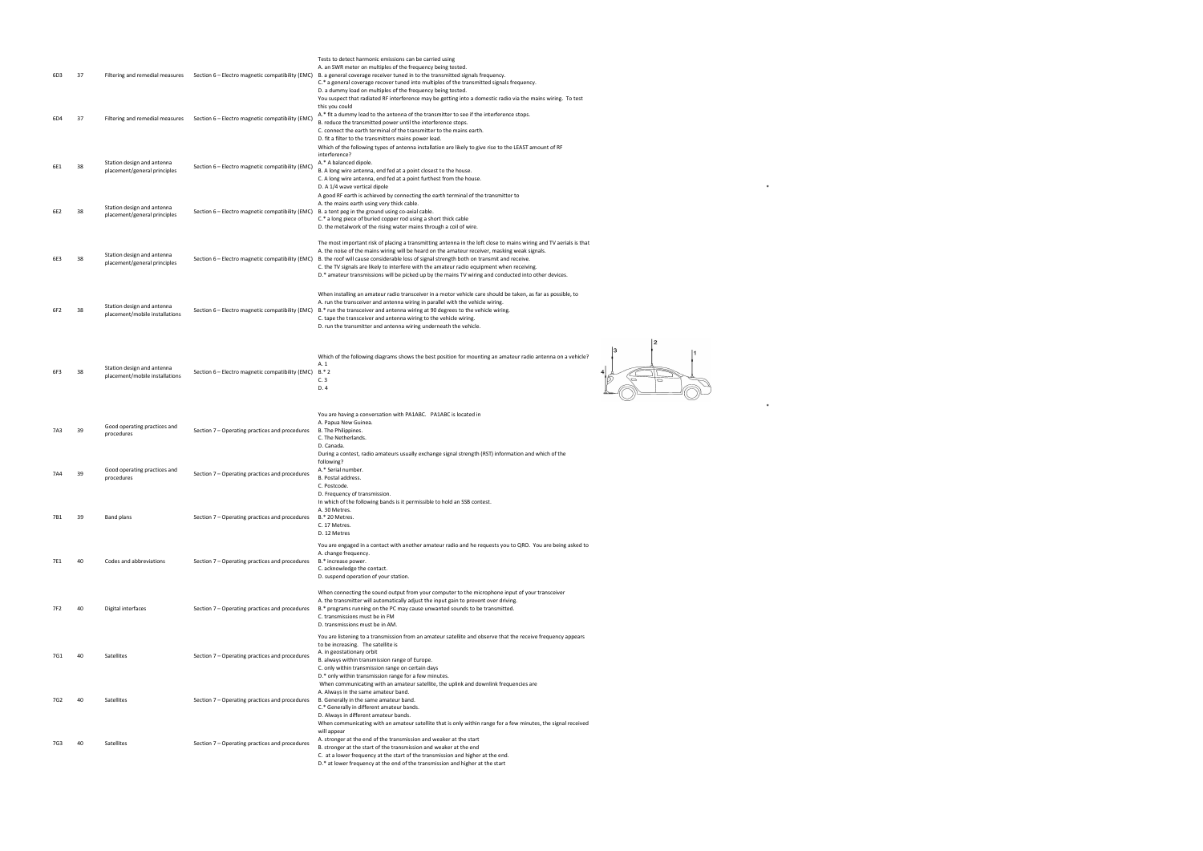|     |      |                                                              |                                                        | Tests to detect harmonic emissions can be carried using                                                                                                                                                                                                                                                                    |  |
|-----|------|--------------------------------------------------------------|--------------------------------------------------------|----------------------------------------------------------------------------------------------------------------------------------------------------------------------------------------------------------------------------------------------------------------------------------------------------------------------------|--|
| 6D3 | - 37 |                                                              |                                                        | A. an SWR meter on multiples of the frequency being tested.<br>Filtering and remedial measures Section 6 - Electro magnetic compatibility (EMC) B. a general coverage receiver tuned in to the transmitted signals frequency.<br>C.* a general coverage recover tuned into multiples of the transmitted signals frequency. |  |
|     |      |                                                              |                                                        | D. a dummy load on multiples of the frequency being tested.<br>You suspect that radiated RF interference may be getting into a domestic radio via the mains wiring. To test<br>this you could                                                                                                                              |  |
| 6D4 | - 37 | Filtering and remedial measures                              | Section 6 - Electro magnetic compatibility (EMC)       | A.* fit a dummy load to the antenna of the transmitter to see if the interference stops.<br>B. reduce the transmitted power until the interference stops.                                                                                                                                                                  |  |
|     |      |                                                              |                                                        | C. connect the earth terminal of the transmitter to the mains earth.                                                                                                                                                                                                                                                       |  |
|     |      |                                                              |                                                        | D. fit a filter to the transmitters mains power lead.                                                                                                                                                                                                                                                                      |  |
|     |      |                                                              |                                                        | Which of the following types of antenna installation are likely to give rise to the LEAST amount of RF<br>interference?                                                                                                                                                                                                    |  |
|     |      | Station design and antenna                                   |                                                        | A.* A balanced dipole.                                                                                                                                                                                                                                                                                                     |  |
| 6E1 | - 38 | placement/general principles                                 | Section 6 - Electro magnetic compatibility (EMC)       | B. A long wire antenna, end fed at a point closest to the house.                                                                                                                                                                                                                                                           |  |
|     |      |                                                              |                                                        | C. A long wire antenna, end fed at a point furthest from the house.<br>D. A 1/4 wave vertical dipole                                                                                                                                                                                                                       |  |
|     |      |                                                              |                                                        | A good RF earth is achieved by connecting the earth terminal of the transmitter to                                                                                                                                                                                                                                         |  |
|     |      | Station design and antenna                                   |                                                        | A. the mains earth using very thick cable.                                                                                                                                                                                                                                                                                 |  |
| 6E2 | 38   | placement/general principles                                 | Section 6 - Electro magnetic compatibility (EMC)       | B. a tent peg in the ground using co-axial cable.<br>C.* a long piece of buried copper rod using a short thick cable                                                                                                                                                                                                       |  |
|     |      |                                                              |                                                        | D. the metalwork of the rising water mains through a coil of wire.                                                                                                                                                                                                                                                         |  |
|     |      |                                                              |                                                        | The most important risk of placing a transmitting antenna in the loft close to mains wiring and TV aerials is that                                                                                                                                                                                                         |  |
|     |      | Station design and antenna                                   |                                                        | A. the noise of the mains wiring will be heard on the amateur receiver, masking weak signals.                                                                                                                                                                                                                              |  |
| 6E3 | 38   | placement/general principles                                 | Section 6 - Electro magnetic compatibility (EMC)       | B. the roof will cause considerable loss of signal strength both on transmit and receive.                                                                                                                                                                                                                                  |  |
|     |      |                                                              |                                                        | C. the TV signals are likely to interfere with the amateur radio equipment when receiving.<br>D.* amateur transmissions will be picked up by the mains TV wiring and conducted into other devices.                                                                                                                         |  |
|     |      |                                                              |                                                        |                                                                                                                                                                                                                                                                                                                            |  |
|     |      |                                                              |                                                        | When installing an amateur radio transceiver in a motor vehicle care should be taken, as far as possible, to                                                                                                                                                                                                               |  |
| 6F2 | -38  | Station design and antenna                                   |                                                        | A. run the transceiver and antenna wiring in parallel with the vehicle wiring.<br>Section 6 - Electro magnetic compatibility (EMC) B.* run the transceiver and antenna wiring at 90 degrees to the vehicle wiring.                                                                                                         |  |
|     |      | placement/mobile installations                               |                                                        | C. tape the transceiver and antenna wiring to the vehicle wiring.                                                                                                                                                                                                                                                          |  |
|     |      |                                                              |                                                        | D. run the transmitter and antenna wiring underneath the vehicle.                                                                                                                                                                                                                                                          |  |
|     |      |                                                              |                                                        |                                                                                                                                                                                                                                                                                                                            |  |
|     |      |                                                              |                                                        |                                                                                                                                                                                                                                                                                                                            |  |
|     |      |                                                              |                                                        | Which of the following diagrams shows the best position for mounting an amateur radio antenna on a vehicle?<br>A. 1                                                                                                                                                                                                        |  |
| 6F3 | -38  | Station design and antenna<br>placement/mobile installations | Section 6 - Electro magnetic compatibility (EMC) B.* 2 |                                                                                                                                                                                                                                                                                                                            |  |
|     |      |                                                              |                                                        | C.3<br>D. 4                                                                                                                                                                                                                                                                                                                |  |
|     |      |                                                              |                                                        |                                                                                                                                                                                                                                                                                                                            |  |
|     |      |                                                              |                                                        |                                                                                                                                                                                                                                                                                                                            |  |
|     |      |                                                              |                                                        | You are having a conversation with PA1ABC. PA1ABC is located in<br>A. Papua New Guinea.                                                                                                                                                                                                                                    |  |
| 7A3 | - 39 | Good operating practices and                                 | Section 7 - Operating practices and procedures         | B. The Philippines.                                                                                                                                                                                                                                                                                                        |  |
|     |      | procedures                                                   |                                                        | C. The Netherlands.                                                                                                                                                                                                                                                                                                        |  |
|     |      |                                                              |                                                        | D. Canada.<br>During a contest, radio amateurs usually exchange signal strength (RST) information and which of the                                                                                                                                                                                                         |  |
|     |      |                                                              |                                                        | following?                                                                                                                                                                                                                                                                                                                 |  |
| 7A4 | - 39 | Good operating practices and<br>procedures                   | Section 7 – Operating practices and procedures         | A.* Serial number.<br>B. Postal address.                                                                                                                                                                                                                                                                                   |  |
|     |      |                                                              |                                                        | C. Postcode.                                                                                                                                                                                                                                                                                                               |  |
|     |      |                                                              |                                                        | D. Frequency of transmission.                                                                                                                                                                                                                                                                                              |  |
|     |      |                                                              |                                                        | In which of the following bands is it permissible to hold an SSB contest.<br>A. 30 Metres.                                                                                                                                                                                                                                 |  |
| 7B1 | 39   | Band plans                                                   | Section 7 – Operating practices and procedures         | B.* 20 Metres.                                                                                                                                                                                                                                                                                                             |  |
|     |      |                                                              |                                                        | C. 17 Metres.<br>D. 12 Metres                                                                                                                                                                                                                                                                                              |  |
|     |      |                                                              |                                                        | You are engaged in a contact with another amateur radio and he requests you to QRO. You are being asked to                                                                                                                                                                                                                 |  |
|     |      |                                                              |                                                        | A. change frequency.                                                                                                                                                                                                                                                                                                       |  |
| 7E1 | 40   | Codes and abbreviations                                      | Section 7 – Operating practices and procedures         | B.* increase power.                                                                                                                                                                                                                                                                                                        |  |
|     |      |                                                              |                                                        | C. acknowledge the contact.<br>D. suspend operation of your station.                                                                                                                                                                                                                                                       |  |
|     |      |                                                              |                                                        |                                                                                                                                                                                                                                                                                                                            |  |
|     |      |                                                              |                                                        | When connecting the sound output from your computer to the microphone input of your transceiver<br>A. the transmitter will automatically adjust the input gain to prevent over driving.                                                                                                                                    |  |
| 7F2 | 40   | Digital interfaces                                           | Section 7 – Operating practices and procedures         | B.* programs running on the PC may cause unwanted sounds to be transmitted.                                                                                                                                                                                                                                                |  |
|     |      |                                                              |                                                        | C. transmissions must be in FM<br>D. transmissions must be in AM.                                                                                                                                                                                                                                                          |  |
|     |      |                                                              |                                                        |                                                                                                                                                                                                                                                                                                                            |  |
|     |      |                                                              |                                                        | You are listening to a transmission from an amateur satellite and observe that the receive frequency appears<br>to be increasing. The satellite is                                                                                                                                                                         |  |
| 7G1 | 40   | Satellites                                                   | Section 7 - Operating practices and procedures         | A. in geostationary orbit                                                                                                                                                                                                                                                                                                  |  |
|     |      |                                                              |                                                        | B. always within transmission range of Europe.<br>C. only within transmission range on certain days                                                                                                                                                                                                                        |  |
|     |      |                                                              |                                                        | D.* only within transmission range for a few minutes.                                                                                                                                                                                                                                                                      |  |
|     |      |                                                              |                                                        | When communicating with an amateur satellite, the uplink and downlink frequencies are                                                                                                                                                                                                                                      |  |
| 7G2 | 40   | Satellites                                                   | Section 7 - Operating practices and procedures         | A. Always in the same amateur band.<br>B. Generally in the same amateur band.                                                                                                                                                                                                                                              |  |
|     |      |                                                              |                                                        | C.* Generally in different amateur bands.                                                                                                                                                                                                                                                                                  |  |
|     |      |                                                              |                                                        | D. Always in different amateur bands.<br>When communicating with an amateur satellite that is only within range for a few minutes, the signal received                                                                                                                                                                     |  |
|     |      |                                                              |                                                        | will appear                                                                                                                                                                                                                                                                                                                |  |
| 7G3 | 40   | Satellites                                                   | Section 7 – Operating practices and procedures         | A. stronger at the end of the transmission and weaker at the start<br>B. stronger at the start of the transmission and weaker at the end                                                                                                                                                                                   |  |
|     |      |                                                              |                                                        | C. at a lower frequency at the start of the transmission and higher at the end.                                                                                                                                                                                                                                            |  |
|     |      |                                                              |                                                        | D.* at lower frequency at the end of the transmission and higher at the start                                                                                                                                                                                                                                              |  |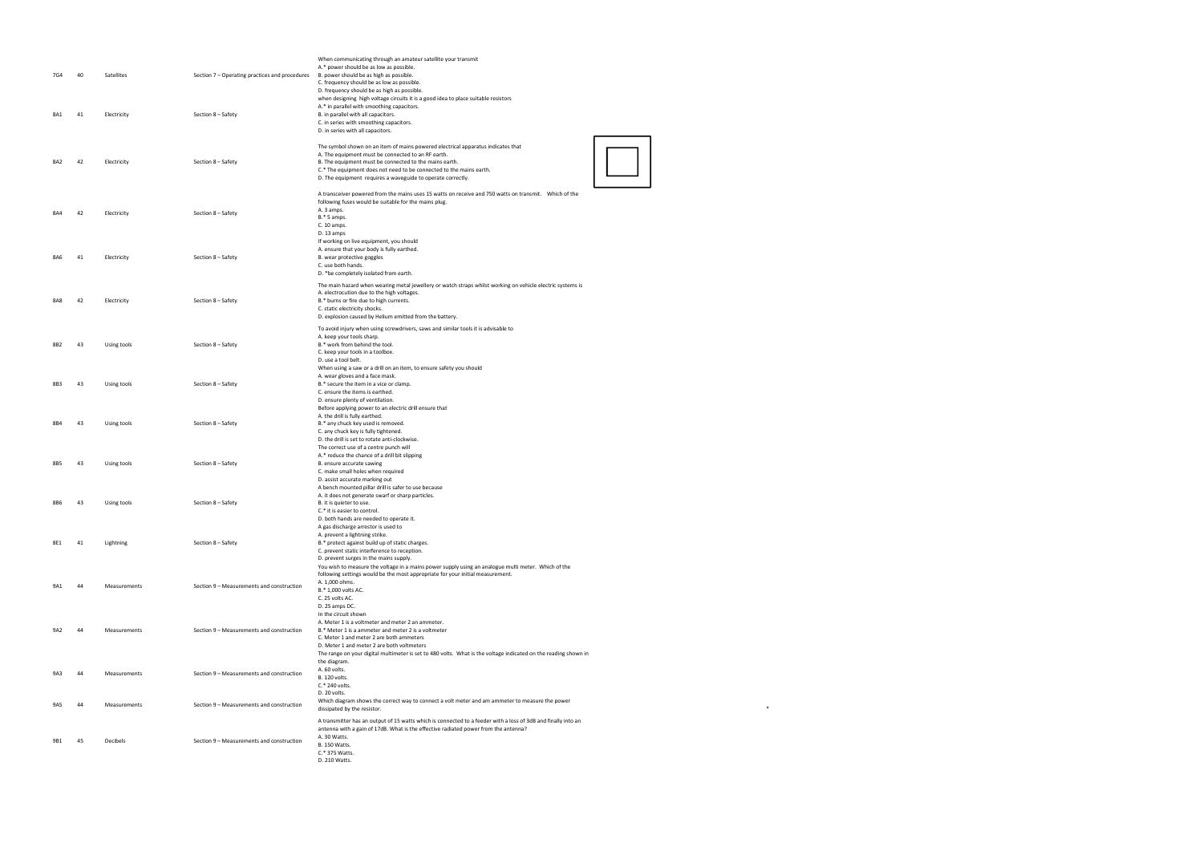| 7G4 | 40 | Satellites   | Section 7 - Operating practices and procedures | When communicating through an amateur satellite your transmit<br>A.* power should be as low as possible.<br>B. power should be as high as possible.<br>C. frequency should be as low as possible.<br>D. frequency should be as high as possible.                                                                                              |
|-----|----|--------------|------------------------------------------------|-----------------------------------------------------------------------------------------------------------------------------------------------------------------------------------------------------------------------------------------------------------------------------------------------------------------------------------------------|
| 8A1 | 41 | Electricity  | Section 8 - Safety                             | when designing high voltage circuits it is a good idea to place suitable resistors<br>A.* in parallel with smoothing capacitors.<br>B. in parallel with all capacitors.<br>C. in series with smoothing capacitors.<br>D. in series with all capacitors.                                                                                       |
| 8A2 | 42 | Electricity  | Section 8 - Safety                             | The symbol shown on an item of mains powered electrical apparatus indicates that<br>A. The equipment must be connected to an RF earth.<br>B. The equipment must be connected to the mains earth.<br>C.* The equipment does not need to be connected to the mains earth.<br>D. The equipment requires a waveguide to operate correctly.        |
| 8A4 | 42 | Electricity  | Section 8 - Safety                             | A transceiver powered from the mains uses 15 watts on receive and 750 watts on transmit. Which of the<br>following fuses would be suitable for the mains plug.<br>A. 3 amps.<br>B.* 5 amps.<br>C. 10 amps.<br>D. 13 amps                                                                                                                      |
| 8A6 | 41 | Electricity  | Section 8 - Safety                             | If working on live equipment, you should<br>A. ensure that your body is fully earthed.<br>B. wear protective goggles<br>C. use both hands.<br>D. *be completely isolated from earth.                                                                                                                                                          |
| 8A8 | 42 | Electricity  | Section 8 - Safety                             | The main hazard when wearing metal jewellery or watch straps whilst working on vehicle electric systems is<br>A. electrocution due to the high voltages.<br>B.* burns or fire due to high currents.<br>C. static electricity shocks.<br>D. explosion caused by Helium emitted from the battery.                                               |
| 8B2 | 43 | Using tools  | Section 8 - Safety                             | To avoid injury when using screwdrivers, saws and similar tools it is advisable to<br>A. keep your tools sharp.<br>B.* work from behind the tool.<br>C. keep your tools in a toolbox.<br>D. use a tool belt.                                                                                                                                  |
| 8B3 | 43 | Using tools  | Section 8 - Safety                             | When using a saw or a drill on an item, to ensure safety you should<br>A. wear gloves and a face mask.<br>B.* secure the item in a vice or clamp.<br>C. ensure the items is earthed.<br>D. ensure plenty of ventilation.                                                                                                                      |
| 8B4 | 43 | Using tools  | Section 8 - Safety                             | Before applying power to an electric drill ensure that<br>A. the drill is fully earthed.<br>B.* any chuck key used is removed.<br>C. any chuck key is fully tightened.<br>D. the drill is set to rotate anti-clockwise.                                                                                                                       |
| 8B5 | 43 | Using tools  | Section 8 - Safety                             | The correct use of a centre punch will<br>A.* reduce the chance of a drill bit slipping<br>B. ensure accurate sawing<br>C. make small holes when required<br>D. assist accurate marking out                                                                                                                                                   |
| 8B6 | 43 | Using tools  | Section 8 - Safety                             | A bench mounted pillar drill is safer to use because<br>A. it does not generate swarf or sharp particles.<br>B. it is quieter to use.<br>C.* it is easier to control.<br>D. both hands are needed to operate it.                                                                                                                              |
| 8E1 | 41 | Lightning    | Section 8 - Safety                             | A gas discharge arrestor is used to<br>A. prevent a lightning strike.<br>B.* protect against build up of static charges.<br>C. prevent static interference to reception.<br>D. prevent surges in the mains supply.                                                                                                                            |
| 9A1 | 44 | Measurements | Section 9 - Measurements and construction      | You wish to measure the voltage in a mains power supply using an analogue multi meter. Which of the<br>following settings would be the most appropriate for your initial measurement.<br>A. 1,000 ohms.<br>B.* 1,000 volts AC.<br>C. 25 volts AC.<br>D. 25 amps DC.                                                                           |
| 9A2 | 44 | Measurements | Section 9 - Measurements and construction      | In the circuit shown<br>A. Meter 1 is a voltmeter and meter 2 an ammeter.<br>B.* Meter 1 is a ammeter and meter 2 is a voltmeter<br>C. Meter 1 and meter 2 are both ammeters<br>D. Meter 1 and meter 2 are both voltmeters<br>The range on your digital multimeter is set to 480 volts. What is the voltage indicated on the reading shown in |
| 9A3 | 44 | Measurements | Section 9 - Measurements and construction      | the diagram.<br>A. 60 volts.<br>B. 120 volts.<br>C.* 240 volts.<br>D. 20 volts.                                                                                                                                                                                                                                                               |
| 9A5 | 44 | Measurements | Section 9 - Measurements and construction      | Which diagram shows the correct way to connect a volt meter and am ammeter to measure the power<br>dissipated by the resistor.                                                                                                                                                                                                                |
| 9B1 | 45 | Decibels     | Section 9 - Measurements and construction      | A transmitter has an output of 15 watts which is connected to a feeder with a loss of 3dB and finally into an<br>antenna with a gain of 17dB. What is the effective radiated power from the antenna?<br>A. 30 Watts.<br><b>B. 150 Watts.</b><br>C.* 375 Watts.<br>D. 210 Watts.                                                               |

dissipated by the resistor. \*